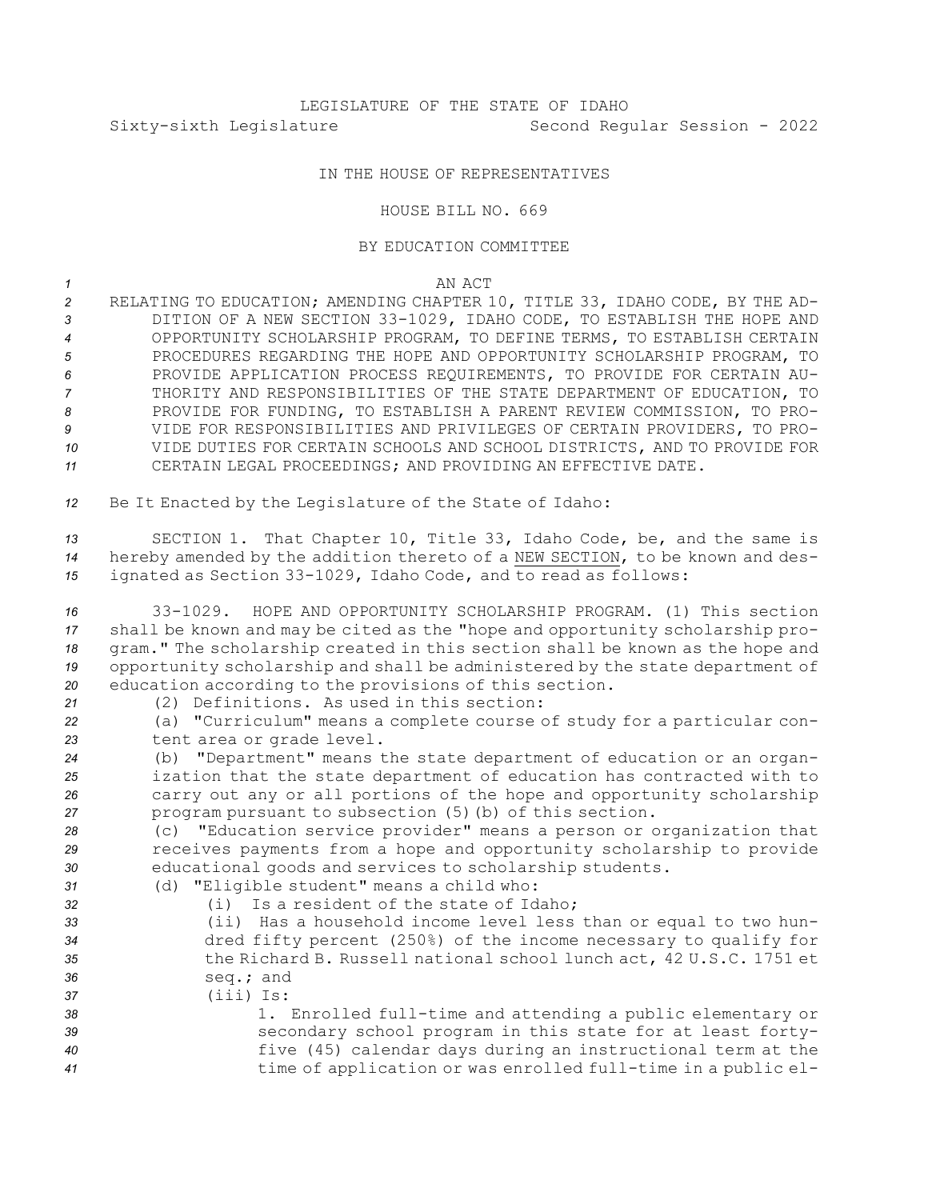## IN THE HOUSE OF REPRESENTATIVES

## HOUSE BILL NO. 669

## BY EDUCATION COMMITTEE

## *1* AN ACT

 RELATING TO EDUCATION; AMENDING CHAPTER 10, TITLE 33, IDAHO CODE, BY THE AD- DITION OF A NEW SECTION 33-1029, IDAHO CODE, TO ESTABLISH THE HOPE AND OPPORTUNITY SCHOLARSHIP PROGRAM, TO DEFINE TERMS, TO ESTABLISH CERTAIN PROCEDURES REGARDING THE HOPE AND OPPORTUNITY SCHOLARSHIP PROGRAM, TO PROVIDE APPLICATION PROCESS REQUIREMENTS, TO PROVIDE FOR CERTAIN AU- THORITY AND RESPONSIBILITIES OF THE STATE DEPARTMENT OF EDUCATION, TO PROVIDE FOR FUNDING, TO ESTABLISH A PARENT REVIEW COMMISSION, TO PRO- VIDE FOR RESPONSIBILITIES AND PRIVILEGES OF CERTAIN PROVIDERS, TO PRO- VIDE DUTIES FOR CERTAIN SCHOOLS AND SCHOOL DISTRICTS, AND TO PROVIDE FOR CERTAIN LEGAL PROCEEDINGS; AND PROVIDING AN EFFECTIVE DATE.

*<sup>12</sup>* Be It Enacted by the Legislature of the State of Idaho:

*<sup>13</sup>* SECTION 1. That Chapter 10, Title 33, Idaho Code, be, and the same is *<sup>14</sup>* hereby amended by the addition thereto of <sup>a</sup> NEW SECTION, to be known and des-*<sup>15</sup>* ignated as Section 33-1029, Idaho Code, and to read as follows:

 33-1029. HOPE AND OPPORTUNITY SCHOLARSHIP PROGRAM. (1) This section shall be known and may be cited as the "hope and opportunity scholarship pro- gram." The scholarship created in this section shall be known as the hope and opportunity scholarship and shall be administered by the state department of education according to the provisions of this section. (2) Definitions. As used in this section:

*<sup>22</sup>* (a) "Curriculum" means <sup>a</sup> complete course of study for <sup>a</sup> particular con-*<sup>23</sup>* tent area or grade level.

 (b) "Department" means the state department of education or an organ- ization that the state department of education has contracted with to carry out any or all portions of the hope and opportunity scholarship program pursuant to subsection (5)(b) of this section.

*<sup>28</sup>* (c) "Education service provider" means <sup>a</sup> person or organization that *<sup>29</sup>* receives payments from <sup>a</sup> hope and opportunity scholarship to provide *<sup>30</sup>* educational goods and services to scholarship students.

- *<sup>31</sup>* (d) "Eligible student" means <sup>a</sup> child who:
- *32* (i) Is <sup>a</sup> resident of the state of Idaho; *<sup>33</sup>* (ii) Has <sup>a</sup> household income level less than or equal to two hun-*<sup>34</sup>* dred fifty percent (250%) of the income necessary to qualify for *<sup>35</sup>* the Richard B. Russell national school lunch act, 42 U.S.C. 1751 et *<sup>36</sup>* seq.; and *37* (iii) Is: *<sup>38</sup>* 1. Enrolled full-time and attending <sup>a</sup> public elementary or *<sup>39</sup>* secondary school program in this state for at least forty-*<sup>40</sup>* five (45) calendar days during an instructional term at the

*<sup>41</sup>* time of application or was enrolled full-time in <sup>a</sup> public el-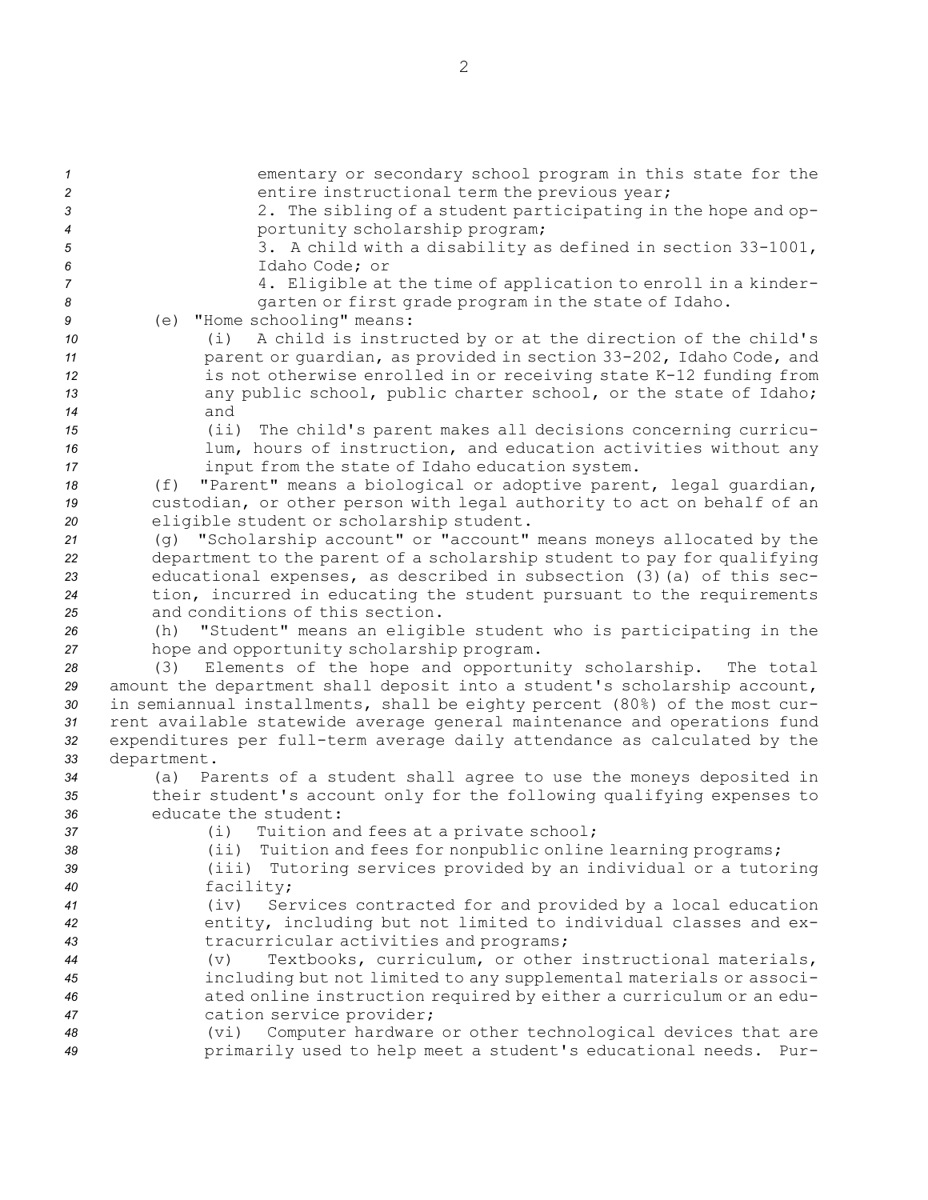| $\mathbf{1}$   | ementary or secondary school program in this state for the                                                                            |
|----------------|---------------------------------------------------------------------------------------------------------------------------------------|
| $\overline{c}$ | entire instructional term the previous year;                                                                                          |
| $\mathfrak{3}$ | 2. The sibling of a student participating in the hope and op-                                                                         |
| 4              | portunity scholarship program;                                                                                                        |
| 5              | 3. A child with a disability as defined in section 33-1001,                                                                           |
| 6              | Idaho Code; or                                                                                                                        |
| $\overline{7}$ | 4. Eligible at the time of application to enroll in a kinder-                                                                         |
| 8              | garten or first grade program in the state of Idaho.                                                                                  |
| 9              | (e) "Home schooling" means:                                                                                                           |
| 10             | A child is instructed by or at the direction of the child's<br>(i)                                                                    |
| 11             | parent or guardian, as provided in section 33-202, Idaho Code, and                                                                    |
| 12<br>13       | is not otherwise enrolled in or receiving state K-12 funding from<br>any public school, public charter school, or the state of Idaho; |
| 14             | and                                                                                                                                   |
| 15             | (i)<br>The child's parent makes all decisions concerning curricu-                                                                     |
| 16             | lum, hours of instruction, and education activities without any                                                                       |
| 17             | input from the state of Idaho education system.                                                                                       |
| 18             | "Parent" means a biological or adoptive parent, legal quardian,<br>(f)                                                                |
| 19             | custodian, or other person with legal authority to act on behalf of an                                                                |
| 20             | eligible student or scholarship student.                                                                                              |
| 21             | (g) "Scholarship account" or "account" means moneys allocated by the                                                                  |
| 22             | department to the parent of a scholarship student to pay for qualifying                                                               |
| 23             | educational expenses, as described in subsection (3) (a) of this sec-                                                                 |
| 24             | tion, incurred in educating the student pursuant to the requirements                                                                  |
| 25             | and conditions of this section.                                                                                                       |
| 26             | "Student" means an eligible student who is participating in the<br>(h)                                                                |
| 27             | hope and opportunity scholarship program.                                                                                             |
| 28             | Elements of the hope and opportunity scholarship.<br>The total<br>(3)                                                                 |
| 29             | amount the department shall deposit into a student's scholarship account,                                                             |
| 30             | in semiannual installments, shall be eighty percent (80%) of the most cur-                                                            |
| 31             | rent available statewide average general maintenance and operations fund                                                              |
| 32             | expenditures per full-term average daily attendance as calculated by the                                                              |
| 33<br>34       | department.<br>(a) Parents of a student shall agree to use the moneys deposited in                                                    |
| 35             | their student's account only for the following qualifying expenses to                                                                 |
| 36             | educate the student:                                                                                                                  |
| 37             | Tuition and fees at a private school;<br>(i)                                                                                          |
| 38             | Tuition and fees for nonpublic online learning programs;<br>(iii)                                                                     |
| 39             | Tutoring services provided by an individual or a tutoring<br>(iii)                                                                    |
| 40             | facility;                                                                                                                             |
| 41             | Services contracted for and provided by a local education<br>(iv)                                                                     |
| 42             | entity, including but not limited to individual classes and ex-                                                                       |
| 43             | tracurricular activities and programs;                                                                                                |
| 44             | Textbooks, curriculum, or other instructional materials,<br>(v)                                                                       |
| 45             | including but not limited to any supplemental materials or associ-                                                                    |
| 46             | ated online instruction required by either a curriculum or an edu-                                                                    |
| 47             | cation service provider;                                                                                                              |
| 48             | Computer hardware or other technological devices that are<br>(vi)                                                                     |
| 49             | primarily used to help meet a student's educational needs.<br>Pur-                                                                    |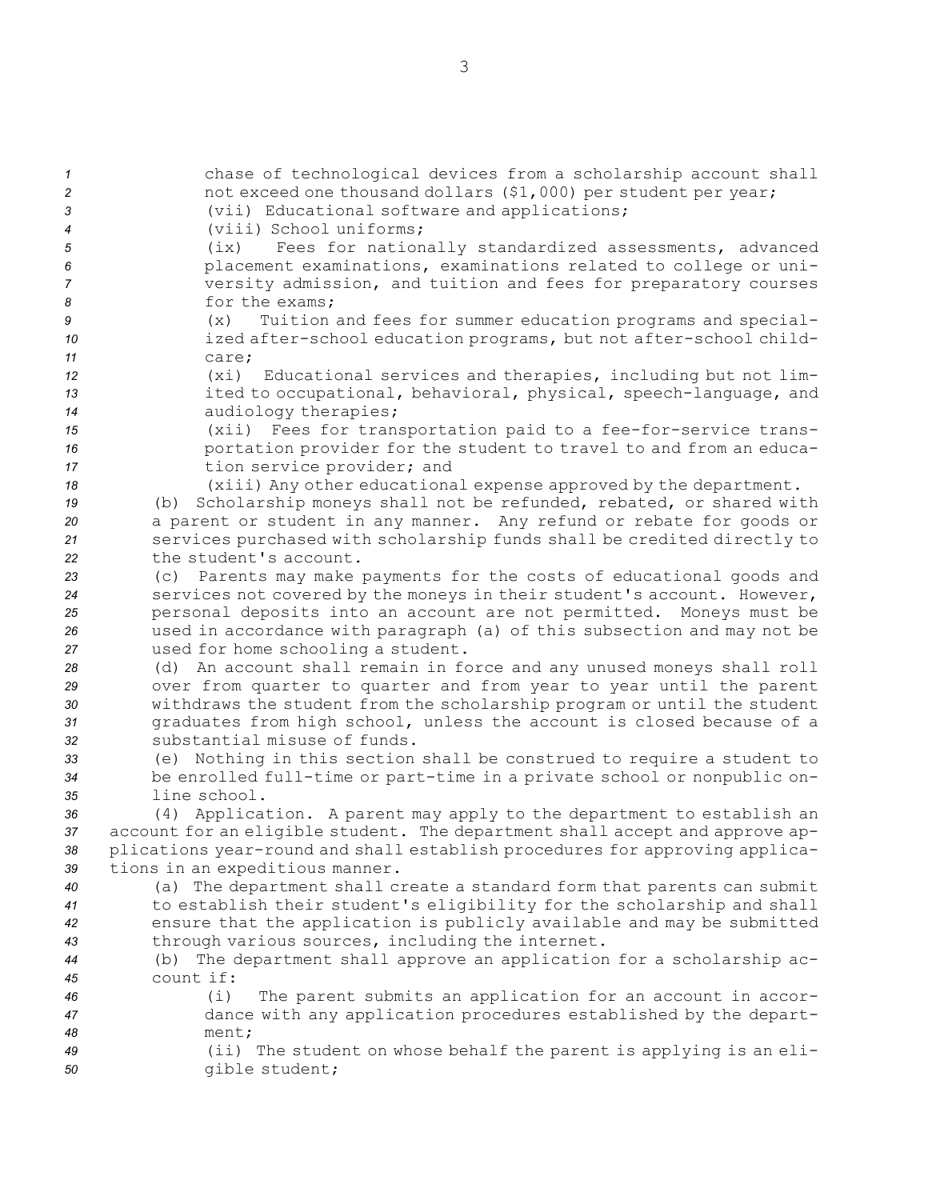chase of technological devices from <sup>a</sup> scholarship account shall not exceed one thousand dollars (\$1,000) per student per year; (vii) Educational software and applications; (viii) School uniforms; (ix) Fees for nationally standardized assessments, advanced placement examinations, examinations related to college or uni- versity admission, and tuition and fees for preparatory courses 8 for the exams; (x) Tuition and fees for summer education programs and special- ized after-school education programs, but not after-school child-*11* care; (xi) Educational services and therapies, including but not lim- ited to occupational, behavioral, physical, speech-language, and audiology therapies; (xii) Fees for transportation paid to <sup>a</sup> fee-for-service trans- portation provider for the student to travel to and from an educa- tion service provider; and (xiii) Any other educational expense approved by the department. (b) Scholarship moneys shall not be refunded, rebated, or shared with <sup>a</sup> parent or student in any manner. Any refund or rebate for goods or services purchased with scholarship funds shall be credited directly to the student's account. (c) Parents may make payments for the costs of educational goods and services not covered by the moneys in their student's account. However, personal deposits into an account are not permitted. Moneys must be used in accordance with paragraph (a) of this subsection and may not be used for home schooling <sup>a</sup> student. (d) An account shall remain in force and any unused moneys shall roll over from quarter to quarter and from year to year until the parent withdraws the student from the scholarship program or until the student graduates from high school, unless the account is closed because of <sup>a</sup> substantial misuse of funds. (e) Nothing in this section shall be construed to require <sup>a</sup> student to be enrolled full-time or part-time in <sup>a</sup> private school or nonpublic on- line school. (4) Application. <sup>A</sup> parent may apply to the department to establish an account for an eligible student. The department shall accept and approve ap- plications year-round and shall establish procedures for approving applica- tions in an expeditious manner. (a) The department shall create <sup>a</sup> standard form that parents can submit to establish their student's eligibility for the scholarship and shall ensure that the application is publicly available and may be submitted through various sources, including the internet. (b) The department shall approve an application for <sup>a</sup> scholarship ac- count if: (i) The parent submits an application for an account in accor- dance with any application procedures established by the depart-*48* ment; (ii) The student on whose behalf the parent is applying is an eli-gible student;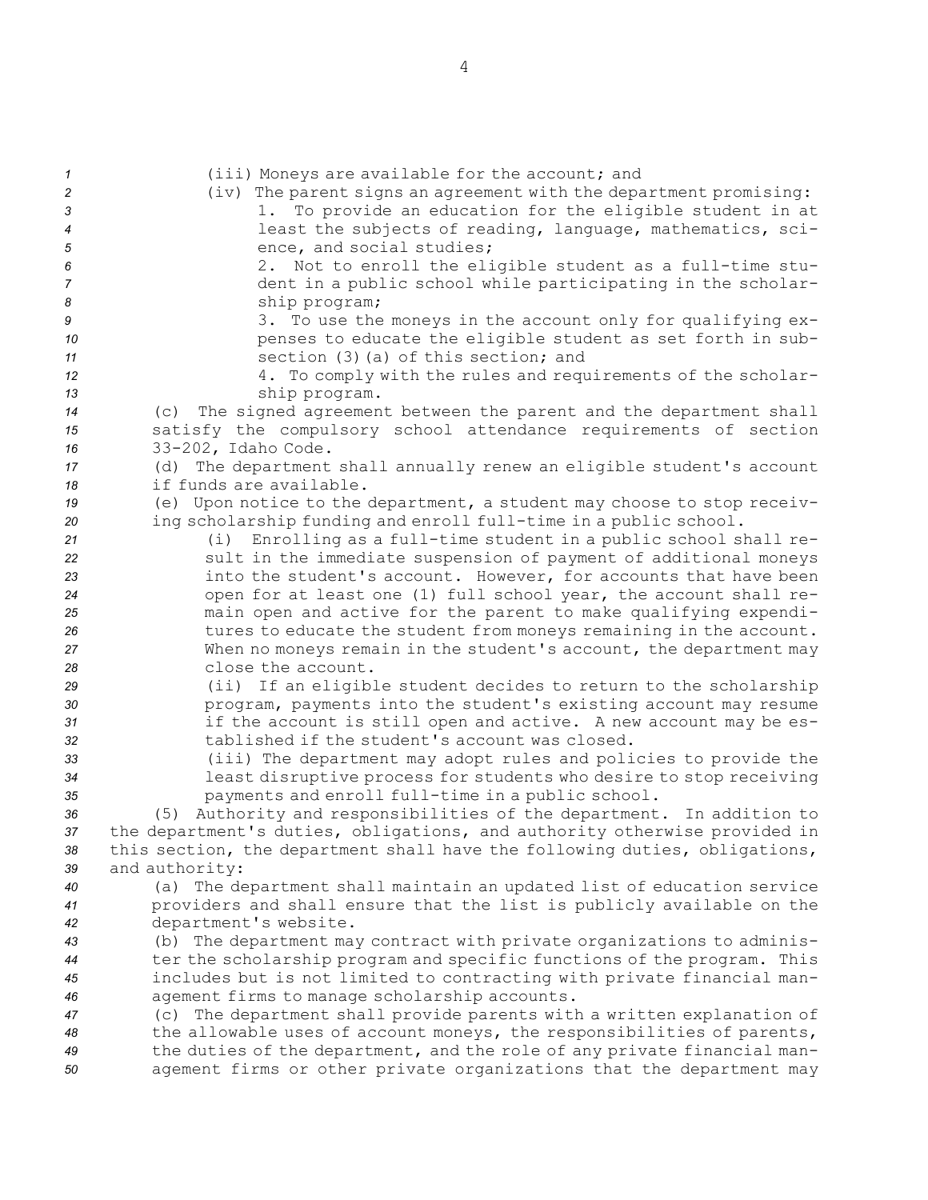(iii) Moneys are available for the account; and (iv) The parent signs an agreement with the department promising: 1. To provide an education for the eligible student in at least the subjects of reading, language, mathematics, sci-5 ence, and social studies; 2. Not to enroll the eligible student as <sup>a</sup> full-time stu- dent in <sup>a</sup> public school while participating in the scholar- ship program; 3. To use the moneys in the account only for qualifying ex- penses to educate the eligible student as set forth in sub- section (3)(a) of this section; and 4. To comply with the rules and requirements of the scholar- ship program. (c) The signed agreement between the parent and the department shall satisfy the compulsory school attendance requirements of section 33-202, Idaho Code. (d) The department shall annually renew an eligible student's account if funds are available. (e) Upon notice to the department, <sup>a</sup> student may choose to stop receiv- ing scholarship funding and enroll full-time in <sup>a</sup> public school. (i) Enrolling as <sup>a</sup> full-time student in <sup>a</sup> public school shall re- sult in the immediate suspension of payment of additional moneys into the student's account. However, for accounts that have been open for at least one (1) full school year, the account shall re- main open and active for the parent to make qualifying expendi- tures to educate the student from moneys remaining in the account. When no moneys remain in the student's account, the department may close the account. (ii) If an eligible student decides to return to the scholarship **program, payments into the student's existing account may resume**  if the account is still open and active. <sup>A</sup> new account may be es- tablished if the student's account was closed. (iii) The department may adopt rules and policies to provide the least disruptive process for students who desire to stop receiving payments and enroll full-time in <sup>a</sup> public school. (5) Authority and responsibilities of the department. In addition to the department's duties, obligations, and authority otherwise provided in this section, the department shall have the following duties, obligations, and authority: (a) The department shall maintain an updated list of education service providers and shall ensure that the list is publicly available on the department's website. (b) The department may contract with private organizations to adminis- ter the scholarship program and specific functions of the program. This includes but is not limited to contracting with private financial man- agement firms to manage scholarship accounts. (c) The department shall provide parents with <sup>a</sup> written explanation of the allowable uses of account moneys, the responsibilities of parents, the duties of the department, and the role of any private financial man-agement firms or other private organizations that the department may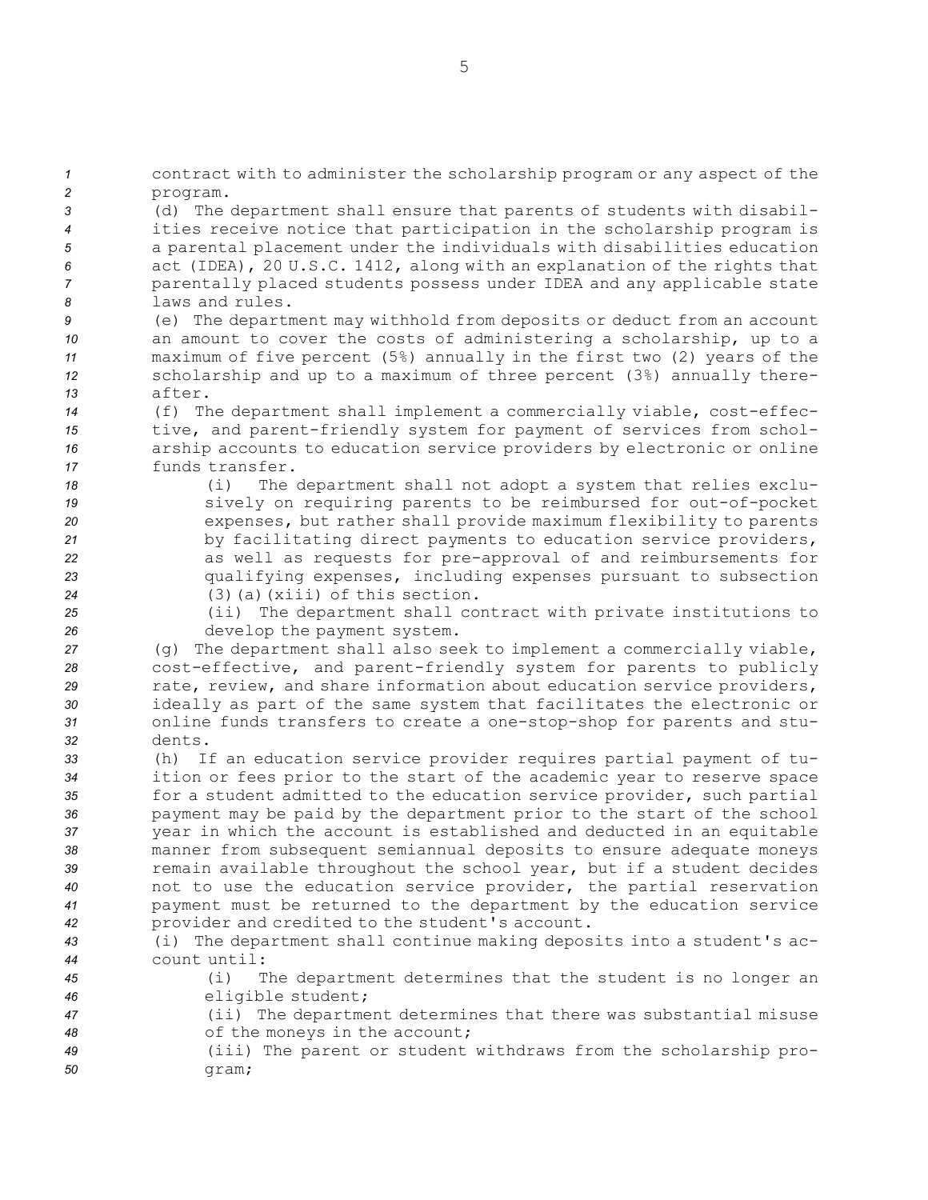contract with to administer the scholarship program or any aspect of the *2* program. (d) The department shall ensure that parents of students with disabil- ities receive notice that participation in the scholarship program is <sup>a</sup> parental placement under the individuals with disabilities education act (IDEA), 20 U.S.C. 1412, along with an explanation of the rights that parentally placed students possess under IDEA and any applicable state laws and rules. (e) The department may withhold from deposits or deduct from an account an amount to cover the costs of administering <sup>a</sup> scholarship, up to <sup>a</sup> maximum of five percent (5%) annually in the first two (2) years of the scholarship and up to <sup>a</sup> maximum of three percent (3%) annually there-*13* after. (f) The department shall implement <sup>a</sup> commercially viable, cost-effec- tive, and parent-friendly system for payment of services from schol- arship accounts to education service providers by electronic or online funds transfer. (i) The department shall not adopt <sup>a</sup> system that relies exclu- sively on requiring parents to be reimbursed for out-of-pocket expenses, but rather shall provide maximum flexibility to parents by facilitating direct payments to education service providers, as well as requests for pre-approval of and reimbursements for qualifying expenses, including expenses pursuant to subsection (3)(a)(xiii) of this section. (ii) The department shall contract with private institutions to develop the payment system. (g) The department shall also seek to implement <sup>a</sup> commercially viable, cost-effective, and parent-friendly system for parents to publicly 29 rate, review, and share information about education service providers, ideally as part of the same system that facilitates the electronic or online funds transfers to create <sup>a</sup> one-stop-shop for parents and stu-*32* dents. (h) If an education service provider requires partial payment of tu- ition or fees prior to the start of the academic year to reserve space 35 for a student admitted to the education service provider, such partial payment may be paid by the department prior to the start of the school year in which the account is established and deducted in an equitable manner from subsequent semiannual deposits to ensure adequate moneys remain available throughout the school year, but if <sup>a</sup> student decides not to use the education service provider, the partial reservation payment must be returned to the department by the education service provider and credited to the student's account. (i) The department shall continue making deposits into <sup>a</sup> student's ac- count until: (i) The department determines that the student is no longer an eligible student; (ii) The department determines that there was substantial misuse of the moneys in the account; (iii) The parent or student withdraws from the scholarship pro-

*50* gram;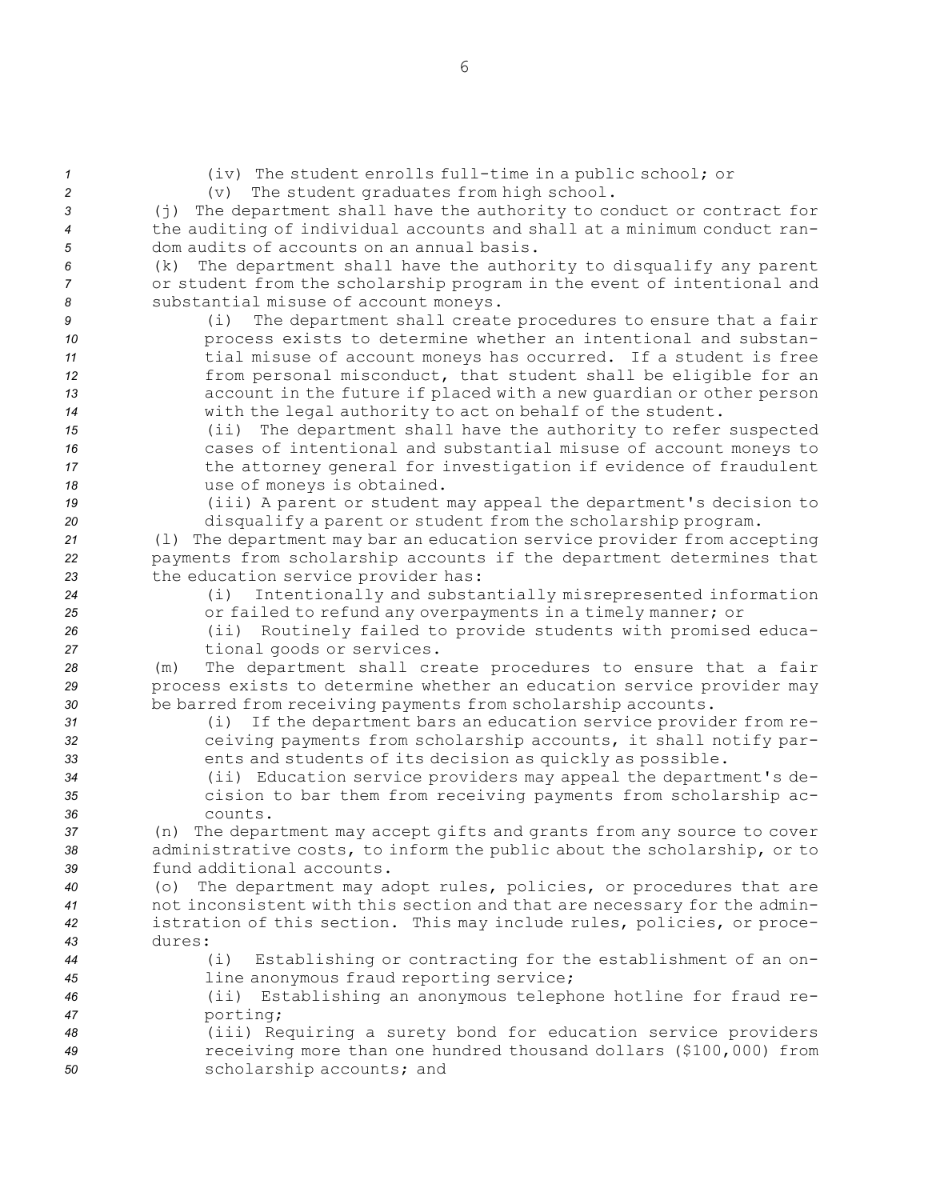| $\mathcal I$ | (iv) The student enrolls full-time in a public school; or                |
|--------------|--------------------------------------------------------------------------|
| 2            | The student graduates from high school.<br>(v)                           |
| 3            | (j) The department shall have the authority to conduct or contract for   |
| 4            | the auditing of individual accounts and shall at a minimum conduct ran-  |
| 5            | dom audits of accounts on an annual basis.                               |
| 6            | The department shall have the authority to disqualify any parent<br>(k)  |
| 7            | or student from the scholarship program in the event of intentional and  |
| 8            | substantial misuse of account moneys.                                    |
| 9            | The department shall create procedures to ensure that a fair<br>(i)      |
| 10           | process exists to determine whether an intentional and substan-          |
| 11           | tial misuse of account moneys has occurred. If a student is free         |
| 12           | from personal misconduct, that student shall be eligible for an          |
| 13           | account in the future if placed with a new quardian or other person      |
| 14           | with the legal authority to act on behalf of the student.                |
|              |                                                                          |
| 15           | The department shall have the authority to refer suspected<br>(i)        |
| 16           | cases of intentional and substantial misuse of account moneys to         |
| 17           | the attorney general for investigation if evidence of fraudulent         |
| 18           | use of moneys is obtained.                                               |
| 19           | (iii) A parent or student may appeal the department's decision to        |
| 20           | disqualify a parent or student from the scholarship program.             |
| 21           | (1) The department may bar an education service provider from accepting  |
| 22           | payments from scholarship accounts if the department determines that     |
| 23           | the education service provider has:                                      |
| 24           | Intentionally and substantially misrepresented information<br>(i)        |
| 25           | or failed to refund any overpayments in a timely manner; or              |
| 26           | Routinely failed to provide students with promised educa-<br>(iii)       |
| 27           | tional goods or services.                                                |
| 28           | The department shall create procedures to ensure that a fair<br>(m)      |
| 29           | process exists to determine whether an education service provider may    |
| 30           | be barred from receiving payments from scholarship accounts.             |
| 31           | If the department bars an education service provider from re-<br>(i)     |
| 32           | ceiving payments from scholarship accounts, it shall notify par-         |
| 33           | ents and students of its decision as quickly as possible.                |
| 34           | (ii) Education service providers may appeal the department's de-         |
| 35           | cision to bar them from receiving payments from scholarship ac-          |
| 36           | counts.                                                                  |
| 37           | (n) The department may accept gifts and grants from any source to cover  |
| 38           | administrative costs, to inform the public about the scholarship, or to  |
| 39           | fund additional accounts.                                                |
| 40           | (o) The department may adopt rules, policies, or procedures that are     |
| 41           | not inconsistent with this section and that are necessary for the admin- |
| 42           | istration of this section. This may include rules, policies, or proce-   |
| 43           | dures:                                                                   |
| 44           | (i)<br>Establishing or contracting for the establishment of an on-       |
| 45           | line anonymous fraud reporting service;                                  |
| 46           | Establishing an anonymous telephone hotline for fraud re-<br>$(i$ i)     |
|              | porting;                                                                 |
| 47           |                                                                          |
| 48           | (iii) Requiring a surety bond for education service providers            |
| 49           | receiving more than one hundred thousand dollars (\$100,000) from        |
| 50           | scholarship accounts; and                                                |

6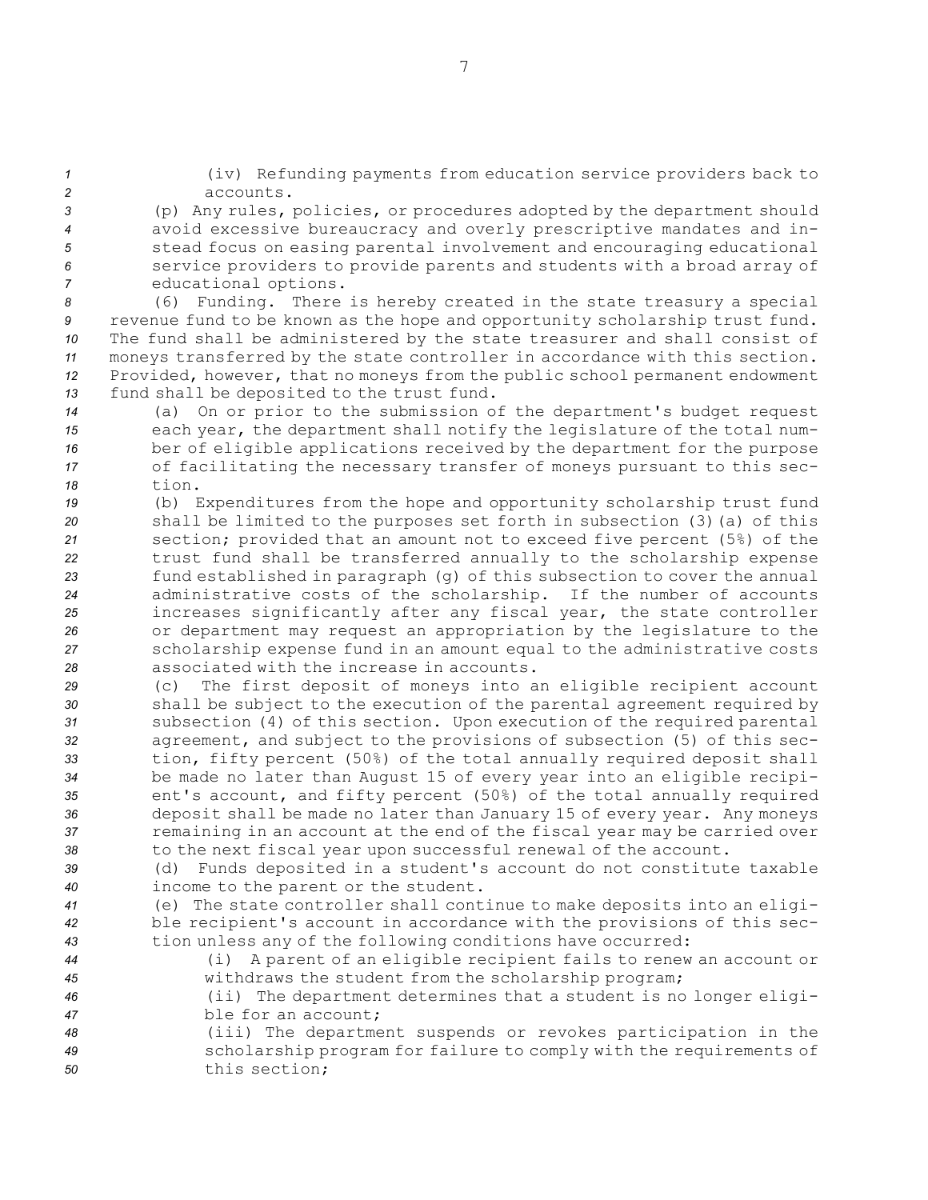*<sup>1</sup>* (iv) Refunding payments from education service providers back to *2* accounts.

 (p) Any rules, policies, or procedures adopted by the department should avoid excessive bureaucracy and overly prescriptive mandates and in- stead focus on easing parental involvement and encouraging educational service providers to provide parents and students with <sup>a</sup> broad array of educational options.

 (6) Funding. There is hereby created in the state treasury <sup>a</sup> special revenue fund to be known as the hope and opportunity scholarship trust fund. The fund shall be administered by the state treasurer and shall consist of moneys transferred by the state controller in accordance with this section. Provided, however, that no moneys from the public school permanent endowment fund shall be deposited to the trust fund.

- *<sup>14</sup>* (a) On or prior to the submission of the department's budget request *<sup>15</sup>* each year, the department shall notify the legislature of the total num-*<sup>16</sup>* ber of eligible applications received by the department for the purpose *<sup>17</sup>* of facilitating the necessary transfer of moneys pursuant to this sec-*18* tion.
- *<sup>19</sup>* (b) Expenditures from the hope and opportunity scholarship trust fund *<sup>20</sup>* shall be limited to the purposes set forth in subsection (3)(a) of this *<sup>21</sup>* section; provided that an amount not to exceed five percent (5%) of the *<sup>22</sup>* trust fund shall be transferred annually to the scholarship expense *<sup>23</sup>* fund established in paragraph (g) of this subsection to cover the annual *<sup>24</sup>* administrative costs of the scholarship. If the number of accounts *<sup>25</sup>* increases significantly after any fiscal year, the state controller *<sup>26</sup>* or department may request an appropriation by the legislature to the *<sup>27</sup>* scholarship expense fund in an amount equal to the administrative costs *28* associated with the increase in accounts.
- *<sup>29</sup>* (c) The first deposit of moneys into an eligible recipient account *<sup>30</sup>* shall be subject to the execution of the parental agreement required by *<sup>31</sup>* subsection (4) of this section. Upon execution of the required parental *<sup>32</sup>* agreement, and subject to the provisions of subsection (5) of this sec-*<sup>33</sup>* tion, fifty percent (50%) of the total annually required deposit shall *<sup>34</sup>* be made no later than August 15 of every year into an eligible recipi-*<sup>35</sup>* ent's account, and fifty percent (50%) of the total annually required *<sup>36</sup>* deposit shall be made no later than January 15 of every year. Any moneys *<sup>37</sup>* remaining in an account at the end of the fiscal year may be carried over *<sup>38</sup>* to the next fiscal year upon successful renewal of the account.
- *<sup>39</sup>* (d) Funds deposited in <sup>a</sup> student's account do not constitute taxable *<sup>40</sup>* income to the parent or the student.
- *<sup>41</sup>* (e) The state controller shall continue to make deposits into an eligi-*<sup>42</sup>* ble recipient's account in accordance with the provisions of this sec-*<sup>43</sup>* tion unless any of the following conditions have occurred:
- *<sup>44</sup>* (i) <sup>A</sup> parent of an eligible recipient fails to renew an account or *<sup>45</sup>* withdraws the student from the scholarship program;
- *<sup>46</sup>* (ii) The department determines that <sup>a</sup> student is no longer eligi-*47* ble for an account;
- *<sup>48</sup>* (iii) The department suspends or revokes participation in the *<sup>49</sup>* scholarship program for failure to comply with the requirements of *50* this section;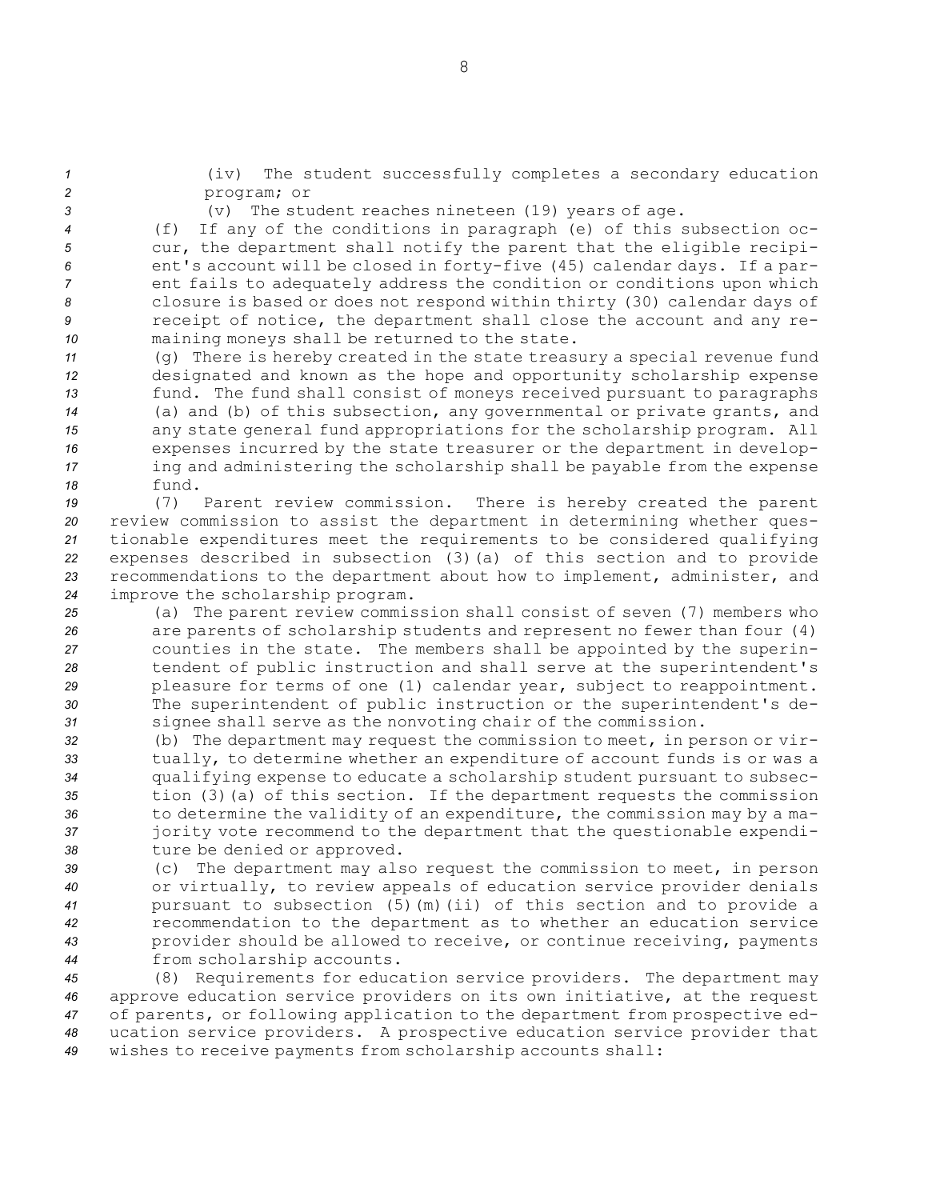*<sup>1</sup>* (iv) The student successfully completes <sup>a</sup> secondary education *2* program; or

*<sup>3</sup>* (v) The student reaches nineteen (19) years of age.

 (f) If any of the conditions in paragraph (e) of this subsection oc- cur, the department shall notify the parent that the eligible recipi- ent's account will be closed in forty-five (45) calendar days. If <sup>a</sup> par- ent fails to adequately address the condition or conditions upon which closure is based or does not respond within thirty (30) calendar days of receipt of notice, the department shall close the account and any re-maining moneys shall be returned to the state.

 (g) There is hereby created in the state treasury <sup>a</sup> special revenue fund designated and known as the hope and opportunity scholarship expense fund. The fund shall consist of moneys received pursuant to paragraphs (a) and (b) of this subsection, any governmental or private grants, and any state general fund appropriations for the scholarship program. All expenses incurred by the state treasurer or the department in develop- ing and administering the scholarship shall be payable from the expense *18* fund.

 (7) Parent review commission. There is hereby created the parent review commission to assist the department in determining whether ques- tionable expenditures meet the requirements to be considered qualifying expenses described in subsection (3)(a) of this section and to provide recommendations to the department about how to implement, administer, and improve the scholarship program.

 (a) The parent review commission shall consist of seven (7) members who are parents of scholarship students and represent no fewer than four (4) counties in the state. The members shall be appointed by the superin- tendent of public instruction and shall serve at the superintendent's pleasure for terms of one (1) calendar year, subject to reappointment. The superintendent of public instruction or the superintendent's de-signee shall serve as the nonvoting chair of the commission.

 (b) The department may request the commission to meet, in person or vir- tually, to determine whether an expenditure of account funds is or was <sup>a</sup> qualifying expense to educate <sup>a</sup> scholarship student pursuant to subsec- tion (3)(a) of this section. If the department requests the commission to determine the validity of an expenditure, the commission may by <sup>a</sup> ma- jority vote recommend to the department that the questionable expendi-ture be denied or approved.

 (c) The department may also request the commission to meet, in person or virtually, to review appeals of education service provider denials pursuant to subsection (5)(m)(ii) of this section and to provide <sup>a</sup> recommendation to the department as to whether an education service provider should be allowed to receive, or continue receiving, payments from scholarship accounts.

 (8) Requirements for education service providers. The department may approve education service providers on its own initiative, at the request of parents, or following application to the department from prospective ed- ucation service providers. <sup>A</sup> prospective education service provider that wishes to receive payments from scholarship accounts shall: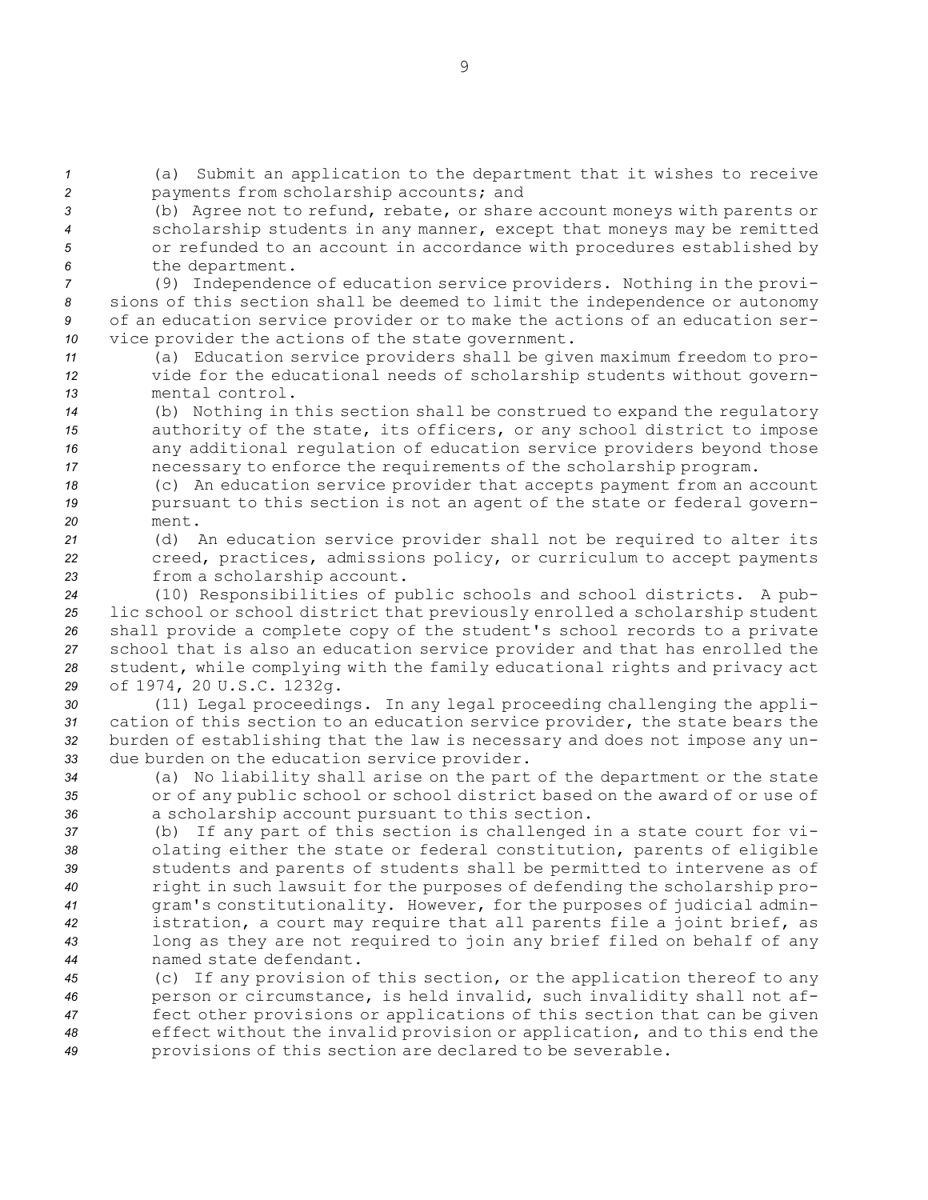*<sup>1</sup>* (a) Submit an application to the department that it wishes to receive *<sup>2</sup>* payments from scholarship accounts; and

 (b) Agree not to refund, rebate, or share account moneys with parents or scholarship students in any manner, except that moneys may be remitted or refunded to an account in accordance with procedures established by the department.

 (9) Independence of education service providers. Nothing in the provi- sions of this section shall be deemed to limit the independence or autonomy of an education service provider or to make the actions of an education ser-vice provider the actions of the state government.

*<sup>11</sup>* (a) Education service providers shall be given maximum freedom to pro-*<sup>12</sup>* vide for the educational needs of scholarship students without govern-*13* mental control.

 (b) Nothing in this section shall be construed to expand the regulatory authority of the state, its officers, or any school district to impose any additional regulation of education service providers beyond those necessary to enforce the requirements of the scholarship program.

*<sup>18</sup>* (c) An education service provider that accepts payment from an account *<sup>19</sup>* pursuant to this section is not an agent of the state or federal govern-*20* ment.

*<sup>21</sup>* (d) An education service provider shall not be required to alter its *<sup>22</sup>* creed, practices, admissions policy, or curriculum to accept payments *<sup>23</sup>* from <sup>a</sup> scholarship account.

 (10) Responsibilities of public schools and school districts. <sup>A</sup> pub- lic school or school district that previously enrolled <sup>a</sup> scholarship student shall provide <sup>a</sup> complete copy of the student's school records to <sup>a</sup> private school that is also an education service provider and that has enrolled the student, while complying with the family educational rights and privacy act of 1974, 20 U.S.C. 1232g.

 (11) Legal proceedings. In any legal proceeding challenging the appli- cation of this section to an education service provider, the state bears the burden of establishing that the law is necessary and does not impose any un-due burden on the education service provider.

*<sup>34</sup>* (a) No liability shall arise on the part of the department or the state *<sup>35</sup>* or of any public school or school district based on the award of or use of *<sup>36</sup>* <sup>a</sup> scholarship account pursuant to this section.

 (b) If any part of this section is challenged in <sup>a</sup> state court for vi- olating either the state or federal constitution, parents of eligible students and parents of students shall be permitted to intervene as of right in such lawsuit for the purposes of defending the scholarship pro- gram's constitutionality. However, for the purposes of judicial admin- istration, <sup>a</sup> court may require that all parents file <sup>a</sup> joint brief, as long as they are not required to join any brief filed on behalf of any named state defendant.

 (c) If any provision of this section, or the application thereof to any person or circumstance, is held invalid, such invalidity shall not af- fect other provisions or applications of this section that can be given effect without the invalid provision or application, and to this end the provisions of this section are declared to be severable.